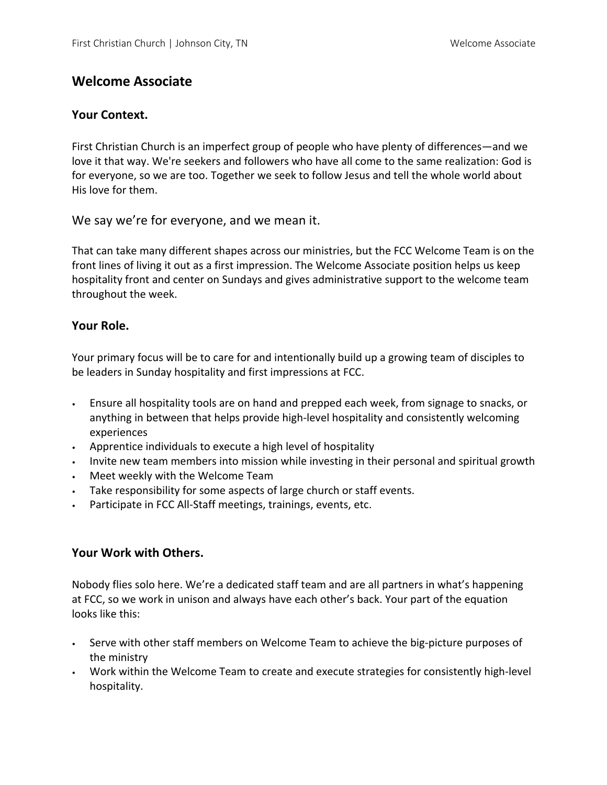# **Welcome Associate**

## **Your Context.**

First Christian Church is an imperfect group of people who have plenty of differences—and we love it that way. We're seekers and followers who have all come to the same realization: God is for everyone, so we are too. Together we seek to follow Jesus and tell the whole world about His love for them.

We say we're for everyone, and we mean it.

That can take many different shapes across our ministries, but the FCC Welcome Team is on the front lines of living it out as a first impression. The Welcome Associate position helps us keep hospitality front and center on Sundays and gives administrative support to the welcome team throughout the week.

## **Your Role.**

Your primary focus will be to care for and intentionally build up a growing team of disciples to be leaders in Sunday hospitality and first impressions at FCC.

- Ensure all hospitality tools are on hand and prepped each week, from signage to snacks, or anything in between that helps provide high-level hospitality and consistently welcoming experiences
- Apprentice individuals to execute a high level of hospitality
- Invite new team members into mission while investing in their personal and spiritual growth
- Meet weekly with the Welcome Team
- Take responsibility for some aspects of large church or staff events.
- Participate in FCC All-Staff meetings, trainings, events, etc.

### **Your Work with Others.**

Nobody flies solo here. We're a dedicated staff team and are all partners in what's happening at FCC, so we work in unison and always have each other's back. Your part of the equation looks like this:

- Serve with other staff members on Welcome Team to achieve the big-picture purposes of the ministry
- Work within the Welcome Team to create and execute strategies for consistently high-level hospitality.